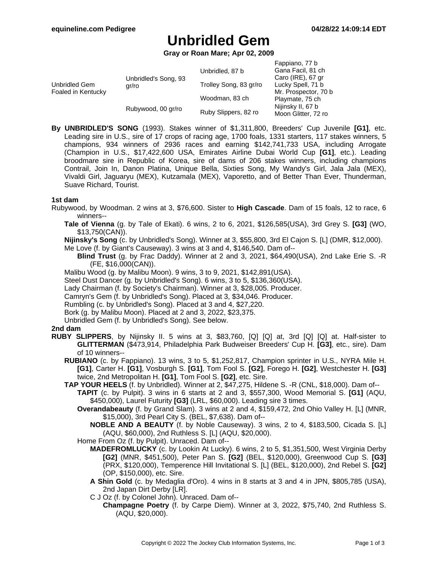# **Unbridled Gem**

**Gray or Roan Mare; Apr 02, 2009**

|                                     |                               |                        | Fappiano, 77 b       |
|-------------------------------------|-------------------------------|------------------------|----------------------|
| Unbridled Gem<br>Foaled in Kentucky | Unbridled's Song, 93<br>gr/ro | Unbridled, 87 b        | Gana Facil, 81 ch    |
|                                     |                               |                        | Caro (IRE), 67 gr    |
|                                     |                               | Trolley Song, 83 gr/ro | Lucky Spell, 71 b    |
|                                     |                               |                        | Mr. Prospector, 70 b |
|                                     |                               | Woodman, 83 ch         | Playmate, 75 ch      |
|                                     | Rubywood, 00 gr/ro            |                        | Nijinsky II, 67 b    |
|                                     |                               | Ruby Slippers, 82 ro   | Moon Glitter, 72 ro  |
|                                     |                               |                        |                      |

**By UNBRIDLED'S SONG** (1993). Stakes winner of \$1,311,800, Breeders' Cup Juvenile **[G1]**, etc. Leading sire in U.S., sire of 17 crops of racing age, 1700 foals, 1331 starters, 117 stakes winners, 5 champions, 934 winners of 2936 races and earning \$142,741,733 USA, including Arrogate (Champion in U.S., \$17,422,600 USA, Emirates Airline Dubai World Cup **[G1]**, etc.). Leading broodmare sire in Republic of Korea, sire of dams of 206 stakes winners, including champions Contrail, Join In, Danon Platina, Unique Bella, Sixties Song, My Wandy's Girl, Jala Jala (MEX), Vivaldi Girl, Jaguaryu (MEX), Kutzamala (MEX), Vaporetto, and of Better Than Ever, Thunderman, Suave Richard, Tourist.

# **1st dam**

- Rubywood, by Woodman. 2 wins at 3, \$76,600. Sister to **High Cascade**. Dam of 15 foals, 12 to race, 6 winners--
	- **Tale of Vienna** (g. by Tale of Ekati). 6 wins, 2 to 6, 2021, \$126,585(USA), 3rd Grey S. **[G3]** (WO, \$13,750(CAN)).

**Nijinsky's Song** (c. by Unbridled's Song). Winner at 3, \$55,800, 3rd El Cajon S. [L] (DMR, \$12,000).

Me Love (f. by Giant's Causeway). 3 wins at 3 and 4, \$146,540. Dam of--

**Blind Trust** (g. by Frac Daddy). Winner at 2 and 3, 2021, \$64,490(USA), 2nd Lake Erie S. -R (FE, \$16,000(CAN)).

- Malibu Wood (g. by Malibu Moon). 9 wins, 3 to 9, 2021, \$142,891(USA).
- Steel Dust Dancer (g. by Unbridled's Song). 6 wins, 3 to 5, \$136,360(USA).

Lady Chairman (f. by Society's Chairman). Winner at 3, \$28,005. Producer.

Camryn's Gem (f. by Unbridled's Song). Placed at 3, \$34,046. Producer.

Rumbling (c. by Unbridled's Song). Placed at 3 and 4, \$27,220.

Bork (g. by Malibu Moon). Placed at 2 and 3, 2022, \$23,375.

Unbridled Gem (f. by Unbridled's Song). See below.

### **2nd dam**

- **RUBY SLIPPERS**, by Nijinsky II. 5 wins at 3, \$83,760, [Q] [Q] at, 3rd [Q] [Q] at. Half-sister to **GLITTERMAN** (\$473,914, Philadelphia Park Budweiser Breeders' Cup H. **[G3]**, etc., sire). Dam of 10 winners--
	- **RUBIANO** (c. by Fappiano). 13 wins, 3 to 5, \$1,252,817, Champion sprinter in U.S., NYRA Mile H. **[G1]**, Carter H. **[G1]**, Vosburgh S. **[G1]**, Tom Fool S. **[G2]**, Forego H. **[G2]**, Westchester H. **[G3]** twice, 2nd Metropolitan H. **[G1]**, Tom Fool S. **[G2]**, etc. Sire.
	- **TAP YOUR HEELS** (f. by Unbridled). Winner at 2, \$47,275, Hildene S. -R (CNL, \$18,000). Dam of--
		- **TAPIT** (c. by Pulpit). 3 wins in 6 starts at 2 and 3, \$557,300, Wood Memorial S. **[G1]** (AQU, \$450,000), Laurel Futurity **[G3]** (LRL, \$60,000). Leading sire 3 times.
			- **Overandabeauty** (f. by Grand Slam). 3 wins at 2 and 4, \$159,472, 2nd Ohio Valley H. [L] (MNR, \$15,000), 3rd Pearl City S. (BEL, \$7,638). Dam of--

**NOBLE AND A BEAUTY** (f. by Noble Causeway). 3 wins, 2 to 4, \$183,500, Cicada S. [L] (AQU, \$60,000), 2nd Ruthless S. [L] (AQU, \$20,000).

- Home From Oz (f. by Pulpit). Unraced. Dam of--
	- **MADEFROMLUCKY** (c. by Lookin At Lucky). 6 wins, 2 to 5, \$1,351,500, West Virginia Derby **[G2]** (MNR, \$451,500), Peter Pan S. **[G2]** (BEL, \$120,000), Greenwood Cup S. **[G3]** (PRX, \$120,000), Temperence Hill Invitational S. [L] (BEL, \$120,000), 2nd Rebel S. **[G2]** (OP, \$150,000), etc. Sire.
	- **A Shin Gold** (c. by Medaglia d'Oro). 4 wins in 8 starts at 3 and 4 in JPN, \$805,785 (USA), 2nd Japan Dirt Derby [LR].
	- C J Oz (f. by Colonel John). Unraced. Dam of--
		- **Champagne Poetry** (f. by Carpe Diem). Winner at 3, 2022, \$75,740, 2nd Ruthless S. (AQU, \$20,000).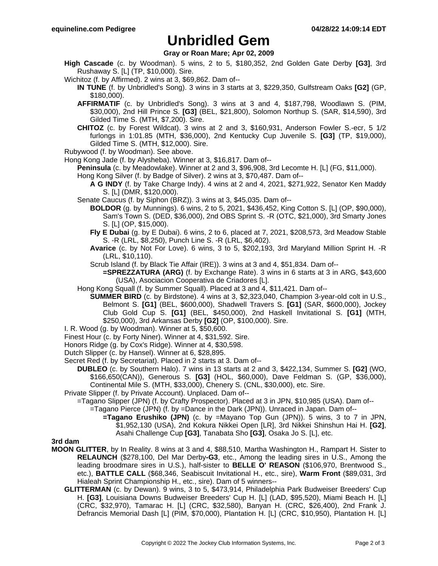# **Unbridled Gem**

# **Gray or Roan Mare; Apr 02, 2009**

- **High Cascade** (c. by Woodman). 5 wins, 2 to 5, \$180,352, 2nd Golden Gate Derby **[G3]**, 3rd Rushaway S. [L] (TP, \$10,000). Sire.
- Wichitoz (f. by Affirmed). 2 wins at 3, \$69,862. Dam of--
	- **IN TUNE** (f. by Unbridled's Song). 3 wins in 3 starts at 3, \$229,350, Gulfstream Oaks **[G2]** (GP, \$180,000).
	- **AFFIRMATIF** (c. by Unbridled's Song). 3 wins at 3 and 4, \$187,798, Woodlawn S. (PIM, \$30,000), 2nd Hill Prince S. **[G3]** (BEL, \$21,800), Solomon Northup S. (SAR, \$14,590), 3rd Gilded Time S. (MTH, \$7,200). Sire.
	- **CHITOZ** (c. by Forest Wildcat). 3 wins at 2 and 3, \$160,931, Anderson Fowler S.-ecr, 5 1/2 furlongs in 1:01.85 (MTH, \$36,000), 2nd Kentucky Cup Juvenile S. **[G3]** (TP, \$19,000), Gilded Time S. (MTH, \$12,000). Sire.
- Rubywood (f. by Woodman). See above.
- Hong Kong Jade (f. by Alysheba). Winner at 3, \$16,817. Dam of--
	- **Peninsula** (c. by Meadowlake). Winner at 2 and 3, \$96,908, 3rd Lecomte H. [L] (FG, \$11,000).
	- Hong Kong Silver (f. by Badge of Silver). 2 wins at 3, \$70,487. Dam of--
		- **A G INDY** (f. by Take Charge Indy). 4 wins at 2 and 4, 2021, \$271,922, Senator Ken Maddy S. [L] (DMR, \$120,000).
	- Senate Caucus (f. by Siphon (BRZ)). 3 wins at 3, \$45,035. Dam of--
		- **BOLDOR** (g. by Munnings). 6 wins, 2 to 5, 2021, \$436,452, King Cotton S. [L] (OP, \$90,000), Sam's Town S. (DED, \$36,000), 2nd OBS Sprint S. -R (OTC, \$21,000), 3rd Smarty Jones S. [L] (OP, \$15,000).
		- **Fly E Dubai** (g. by E Dubai). 6 wins, 2 to 6, placed at 7, 2021, \$208,573, 3rd Meadow Stable S. -R (LRL, \$8,250), Punch Line S. -R (LRL, \$6,402).
		- **Avarice** (c. by Not For Love). 6 wins, 3 to 5, \$202,193, 3rd Maryland Million Sprint H. -R (LRL, \$10,110).
		- Scrub Island (f. by Black Tie Affair (IRE)). 3 wins at 3 and 4, \$51,834. Dam of--
			- **=SPREZZATURA (ARG)** (f. by Exchange Rate). 3 wins in 6 starts at 3 in ARG, \$43,600 (USA), Asociacion Cooperativa de Criadores [L].
	- Hong Kong Squall (f. by Summer Squall). Placed at 3 and 4, \$11,421. Dam of--
		- **SUMMER BIRD** (c. by Birdstone). 4 wins at 3, \$2,323,040, Champion 3-year-old colt in U.S., Belmont S. **[G1]** (BEL, \$600,000), Shadwell Travers S. **[G1]** (SAR, \$600,000), Jockey Club Gold Cup S. **[G1]** (BEL, \$450,000), 2nd Haskell Invitational S. **[G1]** (MTH, \$250,000), 3rd Arkansas Derby **[G2]** (OP, \$100,000). Sire.
- I. R. Wood (g. by Woodman). Winner at 5, \$50,600.
- Finest Hour (c. by Forty Niner). Winner at 4, \$31,592. Sire.
- Honors Ridge (g. by Cox's Ridge). Winner at 4, \$30,598.
- Dutch Slipper (c. by Hansel). Winner at 6, \$28,895.
- Secret Red (f. by Secretariat). Placed in 2 starts at 3. Dam of--
	- **DUBLEO** (c. by Southern Halo). 7 wins in 13 starts at 2 and 3, \$422,134, Summer S. **[G2]** (WO, \$166,650(CAN)), Generous S. **[G3]** (HOL, \$60,000), Dave Feldman S. (GP, \$36,000), Continental Mile S. (MTH, \$33,000), Chenery S. (CNL, \$30,000), etc. Sire.
- Private Slipper (f. by Private Account). Unplaced. Dam of--
	- =Tagano Slipper (JPN) (f. by Crafty Prospector). Placed at 3 in JPN, \$10,985 (USA). Dam of--
		- =Tagano Pierce (JPN) (f. by =Dance in the Dark (JPN)). Unraced in Japan. Dam of--
			- **=Tagano Erushiko (JPN)** (c. by =Mayano Top Gun (JPN)). 5 wins, 3 to 7 in JPN, \$1,952,130 (USA), 2nd Kokura Nikkei Open [LR], 3rd Nikkei Shinshun Hai H. **[G2]**, Asahi Challenge Cup **[G3]**, Tanabata Sho **[G3]**, Osaka Jo S. [L], etc.

### **3rd dam**

- **MOON GLITTER**, by In Reality. 8 wins at 3 and 4, \$88,510, Martha Washington H., Rampart H. Sister to **RELAUNCH** (\$278,100, Del Mar Derby**-G3**, etc., Among the leading sires in U.S., Among the leading broodmare sires in U.S.), half-sister to **BELLE O' REASON** (\$106,970, Brentwood S., etc.), **BATTLE CALL** (\$68,346, Seabiscuit Invitational H., etc., sire), **Warm Front** (\$89,031, 3rd Hialeah Sprint Championship H., etc., sire). Dam of 5 winners--
	- **GLITTERMAN** (c. by Dewan). 9 wins, 3 to 5, \$473,914, Philadelphia Park Budweiser Breeders' Cup H. **[G3]**, Louisiana Downs Budweiser Breeders' Cup H. [L] (LAD, \$95,520), Miami Beach H. [L] (CRC, \$32,970), Tamarac H. [L] (CRC, \$32,580), Banyan H. (CRC, \$26,400), 2nd Frank J. Defrancis Memorial Dash [L] (PIM, \$70,000), Plantation H. [L] (CRC, \$10,950), Plantation H. [L]